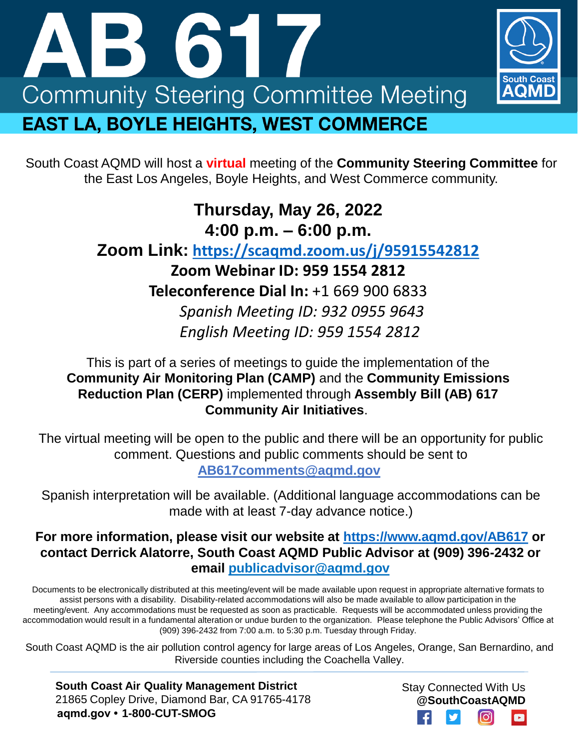



## **Thursday, May 26, 2022 4:00 p.m. – 6:00 p.m.**

### **Zoom Link: <https://scaqmd.zoom.us/j/95915542812>**

**Zoom Webinar ID: 959 1554 2812 Teleconference Dial In:** +1 669 900 6833 *Spanish Meeting ID: 932 0955 9643 English Meeting ID: 959 1554 2812* 

#### This is part of a series of meetings to guide the implementation of the **Community Air Monitoring Plan (CAMP)** and the **Community Emissions Reduction Plan (CERP)** implemented through **Assembly Bill (AB) 617 Community Air Initiatives**.

The virtual meeting will be open to the public and there will be an opportunity for public comment. Questions and public comments should be sent to **[AB617comments@aqmd.gov](mailto:AB617comments@aqmd.gov)**

Spanish interpretation will be available. (Additional language accommodations can be made with at least 7-day advance notice.)

#### **For more information, please visit our website at<https://www.aqmd.gov/AB617> or contact Derrick Alatorre, South Coast AQMD Public Advisor at (909) 396-2432 or email publicadvisor@aqmd.gov**

Documents to be electronically distributed at this meeting/event will be made available upon request in appropriate alternative formats to assist persons with a disability. Disability-related accommodations will also be made available to allow participation in the meeting/event. Any accommodations must be requested as soon as practicable. Requests will be accommodated unless providing the accommodation would result in a fundamental alteration or undue burden to the organization. Please telephone the Public Advisors' Office at (909) 396-2432 from 7:00 a.m. to 5:30 p.m. Tuesday through Friday.

South Coast AQMD is the air pollution control agency for large areas of Los Angeles, Orange, San Bernardino, and Riverside counties including the Coachella Valley.

**South Coast Air Quality Management District** 21865 Copley Drive, Diamond Bar, CA 91765-4178 **aqmd.gov • 1-800-CUT-SMOG**

Stay Connected With Us **@SouthCoastAQMD**

AOMD